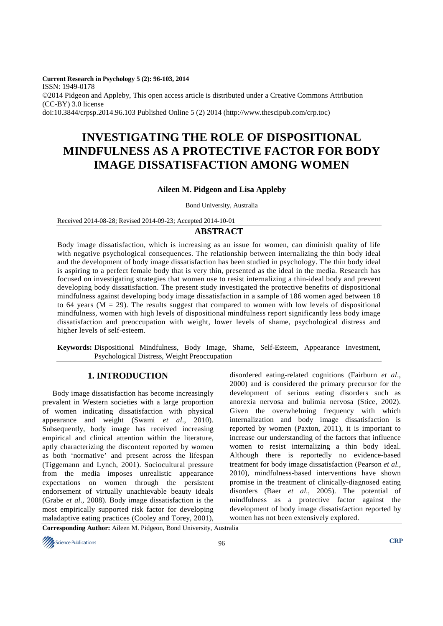**Current Research in Psychology 5 (2): 96-103, 2014**  ISSN: 1949-0178 ©2014 Pidgeon and Appleby, This open access article is distributed under a Creative Commons Attribution (CC-BY) 3.0 license doi:10.3844/crpsp.2014.96.103 Published Online 5 (2) 2014 (http://www.thescipub.com/crp.toc)

# **INVESTIGATING THE ROLE OF DISPOSITIONAL MINDFULNESS AS A PROTECTIVE FACTOR FOR BODY IMAGE DISSATISFACTION AMONG WOMEN**

#### **Aileen M. Pidgeon and Lisa Appleby**

Bond University, Australia

Received 2014-08-28; Revised 2014-09-23; Accepted 2014-10-01

#### **ABSTRACT**

Body image dissatisfaction, which is increasing as an issue for women, can diminish quality of life with negative psychological consequences. The relationship between internalizing the thin body ideal and the development of body image dissatisfaction has been studied in psychology. The thin body ideal is aspiring to a perfect female body that is very thin, presented as the ideal in the media. Research has focused on investigating strategies that women use to resist internalizing a thin-ideal body and prevent developing body dissatisfaction. The present study investigated the protective benefits of dispositional mindfulness against developing body image dissatisfaction in a sample of 186 women aged between 18 to 64 years ( $M = 29$ ). The results suggest that compared to women with low levels of dispositional mindfulness, women with high levels of dispositional mindfulness report significantly less body image dissatisfaction and preoccupation with weight, lower levels of shame, psychological distress and higher levels of self-esteem.

**Keywords:** Dispositional Mindfulness, Body Image, Shame, Self-Esteem, Appearance Investment, Psychological Distress, Weight Preoccupation

#### **1. INTRODUCTION**

Body image dissatisfaction has become increasingly prevalent in Western societies with a large proportion of women indicating dissatisfaction with physical appearance and weight (Swami *et al*., 2010). Subsequently, body image has received increasing empirical and clinical attention within the literature, aptly characterizing the discontent reported by women as both 'normative' and present across the lifespan (Tiggemann and Lynch, 2001). Sociocultural pressure from the media imposes unrealistic appearance expectations on women through the persistent endorsement of virtually unachievable beauty ideals (Grabe *et al*., 2008). Body image dissatisfaction is the most empirically supported risk factor for developing maladaptive eating practices (Cooley and Torey, 2001),

disordered eating-related cognitions (Fairburn *et al*., 2000) and is considered the primary precursor for the development of serious eating disorders such as anorexia nervosa and bulimia nervosa (Stice, 2002). Given the overwhelming frequency with which internalization and body image dissatisfaction is reported by women (Paxton, 2011), it is important to increase our understanding of the factors that influence women to resist internalizing a thin body ideal. Although there is reportedly no evidence-based treatment for body image dissatisfaction (Pearson *et al*., 2010), mindfulness-based interventions have shown promise in the treatment of clinically-diagnosed eating disorders (Baer *et al*., 2005). The potential of mindfulness as a protective factor against the development of body image dissatisfaction reported by women has not been extensively explored.

**Corresponding Author:** Aileen M. Pidgeon, Bond University, Australia

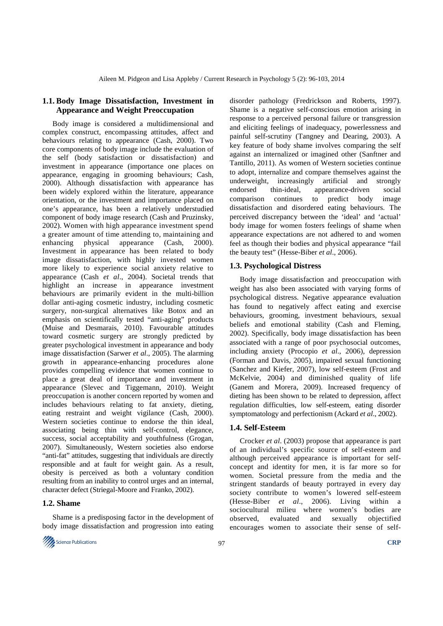## **1.1. Body Image Dissatisfaction, Investment in Appearance and Weight Preoccupation**

Body image is considered a multidimensional and complex construct, encompassing attitudes, affect and behaviours relating to appearance (Cash, 2000). Two core components of body image include the evaluation of the self (body satisfaction or dissatisfaction) and investment in appearance (importance one places on appearance, engaging in grooming behaviours; Cash, 2000). Although dissatisfaction with appearance has been widely explored within the literature, appearance orientation, or the investment and importance placed on one's appearance, has been a relatively understudied component of body image research (Cash and Pruzinsky, 2002). Women with high appearance investment spend a greater amount of time attending to, maintaining and enhancing physical appearance (Cash, 2000). Investment in appearance has been related to body image dissatisfaction, with highly invested women more likely to experience social anxiety relative to appearance (Cash *et al*., 2004). Societal trends that highlight an increase in appearance investment behaviours are primarily evident in the multi-billion dollar anti-aging cosmetic industry, including cosmetic surgery, non-surgical alternatives like Botox and an emphasis on scientifically tested "anti-aging" products (Muise and Desmarais, 2010). Favourable attitudes toward cosmetic surgery are strongly predicted by greater psychological investment in appearance and body image dissatisfaction (Sarwer *et al*., 2005). The alarming growth in appearance-enhancing procedures alone provides compelling evidence that women continue to place a great deal of importance and investment in appearance (Slevec and Tiggemann, 2010). Weight preoccupation is another concern reported by women and includes behaviours relating to fat anxiety, dieting, eating restraint and weight vigilance (Cash, 2000). Western societies continue to endorse the thin ideal, associating being thin with self-control, elegance, success, social acceptability and youthfulness (Grogan, 2007). Simultaneously, Western societies also endorse "anti-fat" attitudes, suggesting that individuals are directly responsible and at fault for weight gain. As a result, obesity is perceived as both a voluntary condition resulting from an inability to control urges and an internal, character defect (Striegal-Moore and Franko, 2002).

#### **1.2. Shame**

Shame is a predisposing factor in the development of body image dissatisfaction and progression into eating



disorder pathology (Fredrickson and Roberts, 1997). Shame is a negative self-conscious emotion arising in response to a perceived personal failure or transgression and eliciting feelings of inadequacy, powerlessness and painful self-scrutiny (Tangney and Dearing, 2003). A key feature of body shame involves comparing the self against an internalized or imagined other (Sanftner and Tantillo, 2011). As women of Western societies continue to adopt, internalize and compare themselves against the underweight, increasingly artificial and strongly endorsed thin-ideal, appearance-driven social comparison continues to predict body image dissatisfaction and disordered eating behaviours. The perceived discrepancy between the 'ideal' and 'actual' body image for women fosters feelings of shame when appearance expectations are not adhered to and women feel as though their bodies and physical appearance "fail the beauty test" (Hesse-Biber *et al*., 2006).

#### **1.3. Psychological Distress**

Body image dissatisfaction and preoccupation with weight has also been associated with varying forms of psychological distress. Negative appearance evaluation has found to negatively affect eating and exercise behaviours, grooming, investment behaviours, sexual beliefs and emotional stability (Cash and Fleming, 2002). Specifically, body image dissatisfaction has been associated with a range of poor psychosocial outcomes, including anxiety (Procopio *et al*., 2006), depression (Forman and Davis, 2005), impaired sexual functioning (Sanchez and Kiefer, 2007), low self-esteem (Frost and McKelvie, 2004) and diminished quality of life (Ganem and Morera, 2009). Increased frequency of dieting has been shown to be related to depression, affect regulation difficulties, low self-esteem, eating disorder symptomatology and perfectionism (Ackard *et al*., 2002).

#### **1.4. Self-Esteem**

Crocker *et al*. (2003) propose that appearance is part of an individual's specific source of self-esteem and although perceived appearance is important for selfconcept and identity for men, it is far more so for women. Societal pressure from the media and the stringent standards of beauty portrayed in every day society contribute to women's lowered self-esteem (Hesse-Biber *et al*., 2006). Living within a sociocultural milieu where women's bodies are observed, evaluated and sexually objectified encourages women to associate their sense of self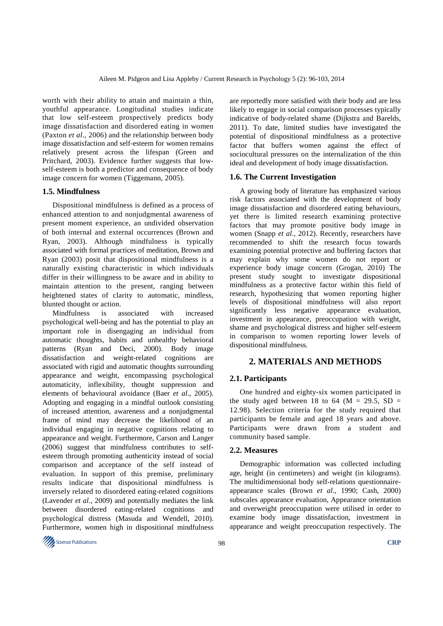worth with their ability to attain and maintain a thin, youthful appearance. Longitudinal studies indicate that low self-esteem prospectively predicts body image dissatisfaction and disordered eating in women (Paxton *et al*., 2006) and the relationship between body image dissatisfaction and self-esteem for women remains relatively present across the lifespan (Green and Pritchard, 2003). Evidence further suggests that lowself-esteem is both a predictor and consequence of body image concern for women (Tiggemann, 2005).

#### **1.5. Mindfulness**

Dispositional mindfulness is defined as a process of enhanced attention to and nonjudgmental awareness of present moment experience, an undivided observation of both internal and external occurrences (Brown and Ryan, 2003). Although mindfulness is typically associated with formal practices of meditation, Brown and Ryan (2003) posit that dispositional mindfulness is a naturally existing characteristic in which individuals differ in their willingness to be aware and in ability to maintain attention to the present, ranging between heightened states of clarity to automatic, mindless, blunted thought or action.

Mindfulness is associated with increased psychological well-being and has the potential to play an important role in disengaging an individual from automatic thoughts, habits and unhealthy behavioral patterns (Ryan and Deci, 2000). Body image dissatisfaction and weight-related cognitions are associated with rigid and automatic thoughts surrounding appearance and weight, encompassing psychological automaticity, inflexibility, thought suppression and elements of behavioural avoidance (Baer *et al*., 2005). Adopting and engaging in a mindful outlook consisting of increased attention, awareness and a nonjudgmental frame of mind may decrease the likelihood of an individual engaging in negative cognitions relating to appearance and weight. Furthermore, Carson and Langer (2006) suggest that mindfulness contributes to selfesteem through promoting authenticity instead of social comparison and acceptance of the self instead of evaluation. In support of this premise, preliminary results indicate that dispositional mindfulness is inversely related to disordered eating-related cognitions (Lavender *et al*., 2009) and potentially mediates the link between disordered eating-related cognitions and psychological distress (Masuda and Wendell, 2010). Furthermore, women high in dispositional mindfulness

are reportedly more satisfied with their body and are less likely to engage in social comparison processes typically indicative of body-related shame (Dijkstra and Barelds, 2011). To date, limited studies have investigated the potential of dispositional mindfulness as a protective factor that buffers women against the effect of sociocultural pressures on the internalization of the thin ideal and development of body image dissatisfaction.

#### **1.6. The Current Investigation**

A growing body of literature has emphasized various risk factors associated with the development of body image dissatisfaction and disordered eating behaviours, yet there is limited research examining protective factors that may promote positive body image in women (Snapp *et al*., 2012). Recently, researchers have recommended to shift the research focus towards examining potential protective and buffering factors that may explain why some women do not report or experience body image concern (Grogan, 2010) The present study sought to investigate dispositional mindfulness as a protective factor within this field of research, hypothesizing that women reporting higher levels of dispositional mindfulness will also report significantly less negative appearance evaluation, investment in appearance, preoccupation with weight, shame and psychological distress and higher self-esteem in comparison to women reporting lower levels of dispositional mindfulness.

# **2. MATERIALS AND METHODS**

#### **2.1. Participants**

One hundred and eighty-six women participated in the study aged between 18 to 64 ( $M = 29.5$ , SD = 12.98). Selection criteria for the study required that participants be female and aged 18 years and above. Participants were drawn from a student and community based sample.

#### **2.2. Measures**

Demographic information was collected including age, height (in centimeters) and weight (in kilograms). The multidimensional body self-relations questionnaireappearance scales (Brown *et al*., 1990; Cash, 2000) subscales appearance evaluation, Appearance orientation and overweight preoccupation were utilised in order to examine body image dissatisfaction, investment in appearance and weight preoccupation respectively. The

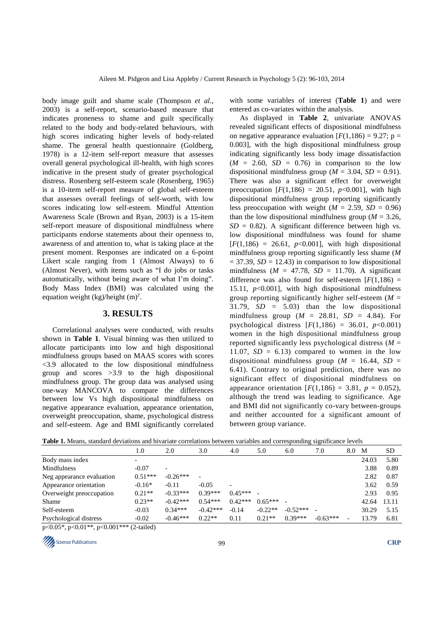body image guilt and shame scale (Thompson *et al*., 2003) is a self-report, scenario-based measure that indicates proneness to shame and guilt specifically related to the body and body-related behaviours, with high scores indicating higher levels of body-related shame. The general health questionnaire (Goldberg, 1978) is a 12-item self-report measure that assesses overall general psychological ill-health, with high scores indicative in the present study of greater psychological distress. Rosenberg self-esteem scale (Rosenberg, 1965) is a 10-item self-report measure of global self-esteem that assesses overall feelings of self-worth, with low scores indicating low self-esteem. Mindful Attention Awareness Scale (Brown and Ryan, 2003) is a 15-item self-report measure of dispositional mindfulness where participants endorse statements about their openness to, awareness of and attention to, what is taking place at the present moment. Responses are indicated on a 6-point Likert scale ranging from 1 (Almost Always) to 6 (Almost Never), with items such as "I do jobs or tasks automatically, without being aware of what I'm doing". Body Mass Index (BMI) was calculated using the equation weight  $(kg)/height$  (m)<sup>2</sup>.

## **3. RESULTS**

Correlational analyses were conducted, with results shown in **Table 1**. Visual binning was then utilized to allocate participants into low and high dispositional mindfulness groups based on MAAS scores with scores <3.9 allocated to the low dispositional mindfulness group and scores >3.9 to the high dispositional mindfulness group. The group data was analysed using one-way MANCOVA to compare the differences between low Vs high dispositional mindfulness on negative appearance evaluation, appearance orientation, overweight preoccupation, shame, psychological distress and self-esteem. Age and BMI significantly correlated

with some variables of interest (**Table 1**) and were entered as co-variates within the analysis.

As displayed in **Table 2**, univariate ANOVAS revealed significant effects of dispositional mindfulness on negative appearance evaluation  $[F(1,186) = 9.27; p =$ 0.003], with the high dispositional mindfulness group indicating significantly less body image dissatisfaction  $(M = 2.60, SD = 0.76)$  in comparison to the low dispositional mindfulness group ( $M = 3.04$ ,  $SD = 0.91$ ). There was also a significant effect for overweight preoccupation  $[F(1,186) = 20.51, p<0.001]$ , with high dispositional mindfulness group reporting significantly less preoccupation with weight  $(M = 2.59, SD = 0.96)$ than the low dispositional mindfulness group ( $M = 3.26$ ,  $SD = 0.82$ ). A significant difference between high vs. low dispositional mindfulness was found for shame  $[F(1,186) = 26.61, p<0.001]$ , with high dispositional mindfulness group reporting significantly less shame (*M*  $= 37.39$ , *SD* = 12.43) in comparison to low dispositional mindfulness  $(M = 47.78, SD = 11.70)$ . A significant difference was also found for self-esteem  $[F(1,186) =$ 15.11, *p*<0.001], with high dispositional mindfulness group reporting significantly higher self-esteem (*M* = 31.79, *SD* = 5.03) than the low dispositional mindfulness group  $(M = 28.81, SD = 4.84)$ . For psychological distress  $[F(1,186) = 36.01, p<0.001]$ women in the high dispositional mindfulness group reported significantly less psychological distress (*M* = 11.07,  $SD = 6.13$ ) compared to women in the low dispositional mindfulness group ( $M = 16.44$ ,  $SD =$ 6.41). Contrary to original prediction, there was no significant effect of dispositional mindfulness on appearance orientation  $[F(1,186) = 3.81, p = 0.052)$ , although the trend was leading to significance. Age and BMI did not significantly co-vary between-groups and neither accounted for a significant amount of between group variance.

| Table 1. Means, standard deviations and bivariate correlations between variables and corresponding significance levels |  |
|------------------------------------------------------------------------------------------------------------------------|--|
|------------------------------------------------------------------------------------------------------------------------|--|

|                                                             | 1.0                                                     | 2.0                      | 3.0        | 4.0                      | 5.0       | 6.0        | 7.0        | 8.0 | M     | <b>SD</b> |
|-------------------------------------------------------------|---------------------------------------------------------|--------------------------|------------|--------------------------|-----------|------------|------------|-----|-------|-----------|
| Body mass index                                             |                                                         |                          |            |                          |           |            |            |     | 24.03 | 5.80      |
| Mindfulness                                                 | $-0.07$                                                 | $\overline{\phantom{0}}$ |            |                          |           |            |            |     | 3.88  | 0.89      |
| Neg appearance evaluation                                   | $0.51***$                                               | $-0.26***$               |            |                          |           |            |            |     | 2.82  | 0.87      |
| Appearance orientation                                      | $-0.16*$                                                | $-0.11$                  | $-0.05$    | $\overline{\phantom{0}}$ |           |            |            |     | 3.62  | 0.59      |
| Overweight preoccupation                                    | $0.21**$                                                | $-0.33***$               | $0.39***$  | $0.45***$                |           |            |            |     | 2.93  | 0.95      |
| Shame                                                       | $0.23**$                                                | $-0.42***$               | $0.54***$  | $0.42***$                | $0.65***$ |            |            |     | 42.64 | 13.11     |
| Self-esteem                                                 | $-0.03$                                                 | $0.34***$                | $-0.42***$ | $-0.14$                  | $-0.22**$ | $-0.52***$ |            |     | 30.29 | 5.15      |
| Psychological distress<br>$0.01$ dents<br>$\bigcap_{i=1}^n$ | $-0.02$<br>$0.001$ the $\sqrt{2}$ $\sqrt{1}$ $\sqrt{2}$ | $-0.46***$               | $0.22**$   | 0.11                     | $0.21**$  | $0.39***$  | $-0.63***$ |     | 13.79 | 6.81      |

p<0.05\*, p<0.01\*\*, p<0.001\*\*\* (2-tailed)

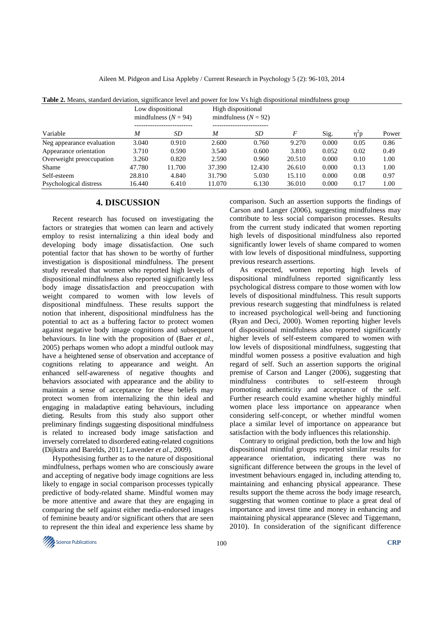| <b>Table 2.</b> Means, standard deviation, significance level and power for low Vs high dispositional mindfulness group |                                             |        |                    |                        |        |       |      |       |
|-------------------------------------------------------------------------------------------------------------------------|---------------------------------------------|--------|--------------------|------------------------|--------|-------|------|-------|
|                                                                                                                         | Low dispositional<br>mindfulness $(N = 94)$ |        | High dispositional | mindfulness $(N = 92)$ |        |       |      |       |
| Variable                                                                                                                | M                                           | SD     | M                  | SD                     | F      | Sig.  | η"p  | Power |
| Neg appearance evaluation                                                                                               | 3.040                                       | 0.910  | 2.600              | 0.760                  | 9.270  | 0.000 | 0.05 | 0.86  |
| Appearance orientation                                                                                                  | 3.710                                       | 0.590  | 3.540              | 0.600                  | 3.810  | 0.052 | 0.02 | 0.49  |
| Overweight preoccupation                                                                                                | 3.260                                       | 0.820  | 2.590              | 0.960                  | 20.510 | 0.000 | 0.10 | 1.00  |
| Shame                                                                                                                   | 47.780                                      | 11.700 | 37.390             | 12.430                 | 26.610 | 0.000 | 0.13 | 1.00  |
| Self-esteem                                                                                                             | 28.810                                      | 4.840  | 31.790             | 5.030                  | 15.110 | 0.000 | 0.08 | 0.97  |
| Psychological distress                                                                                                  | 16.440                                      | 6.410  | 11.070             | 6.130                  | 36.010 | 0.000 | 0.17 | 1.00  |

Aileen M. Pidgeon and Lisa Appleby / Current Research in Psychology 5 (2): 96-103, 2014

# **4. DISCUSSION**

Recent research has focused on investigating the factors or strategies that women can learn and actively employ to resist internalizing a thin ideal body and developing body image dissatisfaction. One such potential factor that has shown to be worthy of further investigation is dispositional mindfulness. The present study revealed that women who reported high levels of dispositional mindfulness also reported significantly less body image dissatisfaction and preoccupation with weight compared to women with low levels of dispositional mindfulness. These results support the notion that inherent, dispositional mindfulness has the potential to act as a buffering factor to protect women against negative body image cognitions and subsequent behaviours. In line with the proposition of (Baer *et al*., 2005) perhaps women who adopt a mindful outlook may have a heightened sense of observation and acceptance of cognitions relating to appearance and weight. An enhanced self-awareness of negative thoughts and behaviors associated with appearance and the ability to maintain a sense of acceptance for these beliefs may protect women from internalizing the thin ideal and engaging in maladaptive eating behaviours, including dieting. Results from this study also support other preliminary findings suggesting dispositional mindfulness is related to increased body image satisfaction and inversely correlated to disordered eating-related cognitions (Dijkstra and Barelds, 2011; Lavender *et al*., 2009).

Hypothesising further as to the nature of dispositional mindfulness, perhaps women who are consciously aware and accepting of negative body image cognitions are less likely to engage in social comparison processes typically predictive of body-related shame. Mindful women may be more attentive and aware that they are engaging in comparing the self against either media-endorsed images of feminine beauty and/or significant others that are seen to represent the thin ideal and experience less shame by

comparison. Such an assertion supports the findings of Carson and Langer (2006), suggesting mindfulness may contribute to less social comparison processes. Results from the current study indicated that women reporting high levels of dispositional mindfulness also reported significantly lower levels of shame compared to women with low levels of dispositional mindfulness, supporting previous research assertions.

As expected, women reporting high levels of dispositional mindfulness reported significantly less psychological distress compare to those women with low levels of dispositional mindfulness. This result supports previous research suggesting that mindfulness is related to increased psychological well-being and functioning (Ryan and Deci, 2000). Women reporting higher levels of dispositional mindfulness also reported significantly higher levels of self-esteem compared to women with low levels of dispositional mindfulness, suggesting that mindful women possess a positive evaluation and high regard of self. Such an assertion supports the original premise of Carson and Langer (2006), suggesting that mindfulness contributes to self-esteem through promoting authenticity and acceptance of the self. Further research could examine whether highly mindful women place less importance on appearance when considering self-concept, or whether mindful women place a similar level of importance on appearance but satisfaction with the body influences this relationship.

Contrary to original prediction, both the low and high dispositional mindful groups reported similar results for appearance orientation, indicating there was no significant difference between the groups in the level of investment behaviours engaged in, including attending to, maintaining and enhancing physical appearance. These results support the theme across the body image research, suggesting that women continue to place a great deal of importance and invest time and money in enhancing and maintaining physical appearance (Slevec and Tiggemann, 2010). In consideration of the significant difference

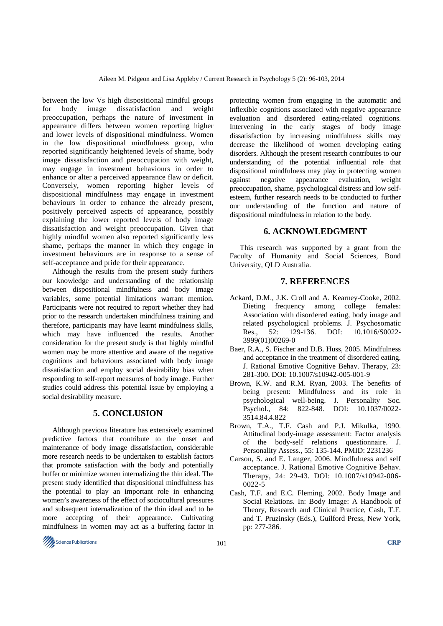between the low Vs high dispositional mindful groups for body image dissatisfaction and weight preoccupation, perhaps the nature of investment in appearance differs between women reporting higher and lower levels of dispositional mindfulness. Women in the low dispositional mindfulness group, who reported significantly heightened levels of shame, body image dissatisfaction and preoccupation with weight, may engage in investment behaviours in order to enhance or alter a perceived appearance flaw or deficit. Conversely, women reporting higher levels of dispositional mindfulness may engage in investment behaviours in order to enhance the already present, positively perceived aspects of appearance, possibly explaining the lower reported levels of body image dissatisfaction and weight preoccupation. Given that highly mindful women also reported significantly less shame, perhaps the manner in which they engage in investment behaviours are in response to a sense of self-acceptance and pride for their appearance.

Although the results from the present study furthers our knowledge and understanding of the relationship between dispositional mindfulness and body image variables, some potential limitations warrant mention. Participants were not required to report whether they had prior to the research undertaken mindfulness training and therefore, participants may have learnt mindfulness skills, which may have influenced the results. Another consideration for the present study is that highly mindful women may be more attentive and aware of the negative cognitions and behaviours associated with body image dissatisfaction and employ social desirability bias when responding to self-report measures of body image. Further studies could address this potential issue by employing a social desirability measure.

# **5. CONCLUSION**

Although previous literature has extensively examined predictive factors that contribute to the onset and maintenance of body image dissatisfaction, considerable more research needs to be undertaken to establish factors that promote satisfaction with the body and potentially buffer or minimize women internalizing the thin ideal. The present study identified that dispositional mindfulness has the potential to play an important role in enhancing women's awareness of the effect of sociocultural pressures and subsequent internalization of the thin ideal and to be more accepting of their appearance. Cultivating mindfulness in women may act as a buffering factor in

protecting women from engaging in the automatic and inflexible cognitions associated with negative appearance evaluation and disordered eating-related cognitions. Intervening in the early stages of body image dissatisfaction by increasing mindfulness skills may decrease the likelihood of women developing eating disorders. Although the present research contributes to our understanding of the potential influential role that dispositional mindfulness may play in protecting women against negative appearance evaluation, weight preoccupation, shame, psychological distress and low selfesteem, further research needs to be conducted to further our understanding of the function and nature of dispositional mindfulness in relation to the body.

## **6. ACKNOWLEDGMENT**

This research was supported by a grant from the Faculty of Humanity and Social Sciences, Bond University, QLD Australia.

## **7. REFERENCES**

- Ackard, D.M., J.K. Croll and A. Kearney-Cooke, 2002. Dieting frequency among college females: Association with disordered eating, body image and related psychological problems. J. Psychosomatic Res., 52: 129-136. DOI: 10.1016/S0022- 3999(01)00269-0
- Baer, R.A., S. Fischer and D.B. Huss, 2005. Mindfulness and acceptance in the treatment of disordered eating. J. Rational Emotive Cognitive Behav. Therapy, 23: 281-300. DOI: 10.1007/s10942-005-001-9
- Brown, K.W. and R.M. Ryan, 2003. The benefits of being present: Mindfulness and its role in psychological well-being. J. Personality Soc. Psychol., 84: 822-848. DOI: 10.1037/0022-3514.84.4.822
- Brown, T.A., T.F. Cash and P.J. Mikulka, 1990. Attitudinal body-image assessment: Factor analysis of the body-self relations questionnaire. J. Personality Assess., 55: 135-144. PMID: 2231236
- Carson, S. and E. Langer, 2006. Mindfulness and self acceptance. J. Rational Emotive Cognitive Behav. Therapy, 24: 29-43. DOI: 10.1007/s10942-006- 0022-5
- Cash, T.F. and E.C. Fleming, 2002. Body Image and Social Relations. In: Body Image: A Handbook of Theory, Research and Clinical Practice, Cash, T.F. and T. Pruzinsky (Eds.), Guilford Press, New York, pp: 277-286.

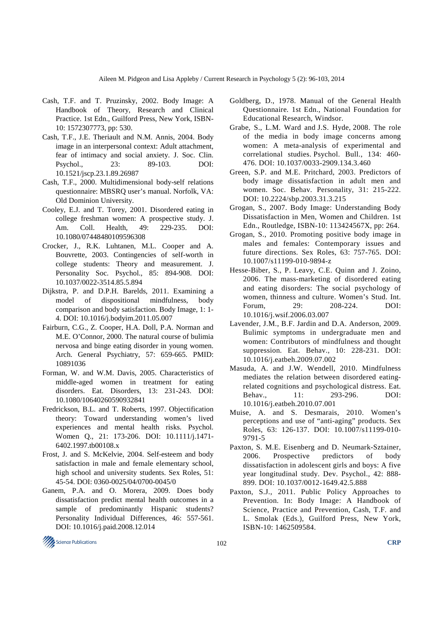- Cash, T.F. and T. Pruzinsky, 2002. Body Image: A Handbook of Theory, Research and Clinical Practice. 1st Edn., Guilford Press, New York, ISBN-10: 1572307773, pp: 530.
- Cash, T.F., J.E. Theriault and N.M. Annis, 2004. Body image in an interpersonal context: Adult attachment, fear of intimacy and social anxiety. J. Soc. Clin. Psychol., 23: 89-103. DOI: 10.1521/jscp.23.1.89.26987
- Cash, T.F., 2000. Multidimensional body-self relations questionnaire: MBSRQ user's manual. Norfolk, VA: Old Dominion University.
- Cooley, E.J. and T. Torey, 2001. Disordered eating in college freshman women: A prospective study. J. Am. Coll. Health, 49: 229-235. DOI: 10.1080/07448480109596308
- Crocker, J., R.K. Luhtanen, M.L. Cooper and A. Bouvrette, 2003. Contingencies of self-worth in college students: Theory and measurement. J. Personality Soc. Psychol., 85: 894-908. DOI: 10.1037/0022-3514.85.5.894
- Dijkstra, P. and D.P.H. Barelds, 2011. Examining a model of dispositional mindfulness, body comparison and body satisfaction. Body Image, 1: 1- 4. DOI: 10.1016/j.bodyim.2011.05.007
- Fairburn, C.G., Z. Cooper, H.A. Doll, P.A. Norman and M.E. O'Connor, 2000. The natural course of bulimia nervosa and binge eating disorder in young women. Arch. General Psychiatry, 57: 659-665. PMID: 10891036
- Forman, W. and W.M. Davis, 2005. Characteristics of middle-aged women in treatment for eating disorders. Eat. Disorders, 13: 231-243. DOI: 10.1080/10640260590932841
- Fredrickson, B.L. and T. Roberts, 1997. Objectification theory: Toward understanding women's lived experiences and mental health risks. Psychol. Women Q., 21: 173-206. DOI: 10.1111/j.1471- 6402.1997.tb00108.x
- Frost, J. and S. McKelvie, 2004. Self-esteem and body satisfaction in male and female elementary school, high school and university students. Sex Roles, 51: 45-54. DOI: 0360-0025/04/0700-0045/0
- Ganem, P.A. and O. Morera, 2009. Does body dissatisfaction predict mental health outcomes in a sample of predominantly Hispanic students? Personality Individual Differences, 46: 557-561. DOI: 10.1016/j.paid.2008.12.014
- Goldberg, D., 1978. Manual of the General Health Questionnaire*.* 1st Edn., National Foundation for Educational Research, Windsor.
- Grabe, S., L.M. Ward and J.S. Hyde, 2008. The role of the media in body image concerns among women: A meta-analysis of experimental and correlational studies. Psychol. Bull., 134: 460- 476. DOI: 10.1037/0033-2909.134.3.460
- Green, S.P. and M.E. Pritchard, 2003. Predictors of body image dissatisfaction in adult men and women. Soc. Behav. Personality, 31: 215-222. DOI: 10.2224/sbp.2003.31.3.215
- Grogan, S., 2007. Body Image: Understanding Body Dissatisfaction in Men, Women and Children. 1st Edn., Routledge, ISBN-10: 113424567X, pp: 264.
- Grogan, S., 2010. Promoting positive body image in males and females: Contemporary issues and future directions. Sex Roles, 63: 757-765. DOI: 10.1007/s11199-010-9894-z
- Hesse-Biber, S., P. Leavy, C.E. Quinn and J. Zoino, 2006. The mass-marketing of disordered eating and eating disorders: The social psychology of women, thinness and culture. Women's Stud. Int. Forum, 29: 208-224. DOI: 10.1016/j.wsif.2006.03.007
- Lavender, J.M., B.F. Jardin and D.A. Anderson, 2009. Bulimic symptoms in undergraduate men and women: Contributors of mindfulness and thought suppression. Eat. Behav., 10: 228-231. DOI: 10.1016/j.eatbeh.2009.07.002
- Masuda, A. and J.W. Wendell, 2010. Mindfulness mediates the relation between disordered eatingrelated cognitions and psychological distress. Eat. Behav., 11: 293-296. DOI: 10.1016/j.eatbeh.2010.07.001
- Muise, A. and S. Desmarais, 2010. Women's perceptions and use of "anti-aging" products. Sex Roles, 63: 126-137. DOI: 10.1007/s11199-010- 9791-5
- Paxton, S. M.E. Eisenberg and D. Neumark-Sztainer, 2006. Prospective predictors of body dissatisfaction in adolescent girls and boys: A five year longitudinal study. Dev. Psychol., 42: 888- 899. DOI: 10.1037/0012-1649.42.5.888
- Paxton, S.J., 2011. Public Policy Approaches to Prevention. In: Body Image: A Handbook of Science, Practice and Prevention, Cash, T.F. and L. Smolak (Eds.), Guilford Press, New York, ISBN-10: 1462509584.